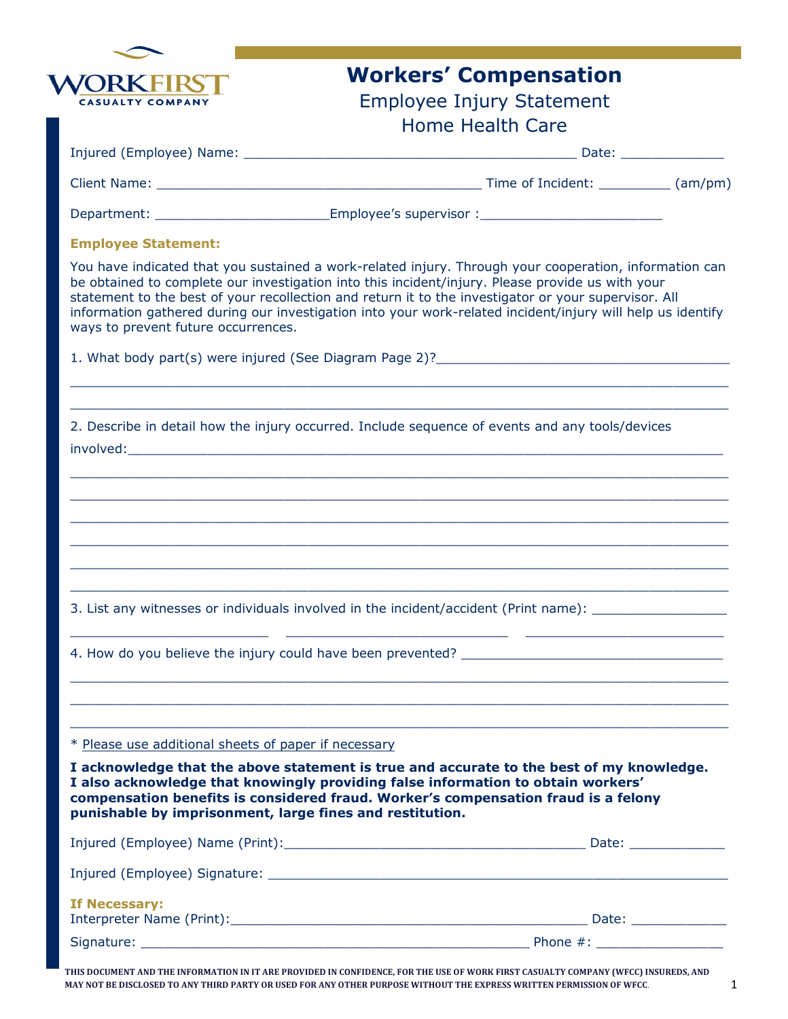

## Workers' Compensation

### Employee Injury Statement Home Health Care

|  |  | Injured (Employee) Name: |
|--|--|--------------------------|
|  |  |                          |

Injured (Employee) Name: \_\_\_\_\_\_\_\_\_\_\_\_\_\_\_\_\_\_\_\_\_\_\_\_\_\_\_\_\_\_\_\_\_\_\_\_\_\_\_\_\_\_ Date: \_\_\_\_\_\_\_\_\_\_\_\_\_

Client Name:  $\Box$  (am/pm)

Department: example are supervisor in the Employee's supervisor :

### Employee Statement:

You have indicated that you sustained a work-related injury. Through your cooperation, information can be obtained to complete our investigation into this incident/injury. Please provide us with your statement to the best of your recollection and return it to the investigator or your supervisor. All information gathered during our investigation into your work-related incident/injury will help us identify ways to prevent future occurrences.

 $\_$  ,  $\_$  ,  $\_$  ,  $\_$  ,  $\_$  ,  $\_$  ,  $\_$  ,  $\_$  ,  $\_$  ,  $\_$  ,  $\_$  ,  $\_$  ,  $\_$  ,  $\_$  ,  $\_$  ,  $\_$  ,  $\_$  ,  $\_$  ,  $\_$  ,  $\_$  ,  $\_$  ,  $\_$  ,  $\_$  ,  $\_$  ,  $\_$  ,  $\_$  ,  $\_$  ,  $\_$  ,  $\_$  ,  $\_$  ,  $\_$  ,  $\_$  ,  $\_$  ,  $\_$  ,  $\_$  ,  $\_$  ,  $\_$  ,  $\_$  , and the set of the set of the set of the set of the set of the set of the set of the set of the set of the set of the set of the set of the set of the set of the set of the set of the set of the set of the set of th

 $\_$  ,  $\_$  ,  $\_$  ,  $\_$  ,  $\_$  ,  $\_$  ,  $\_$  ,  $\_$  ,  $\_$  ,  $\_$  ,  $\_$  ,  $\_$  ,  $\_$  ,  $\_$  ,  $\_$  ,  $\_$  ,  $\_$  ,  $\_$  ,  $\_$  ,  $\_$  ,  $\_$  ,  $\_$  ,  $\_$  ,  $\_$  ,  $\_$  ,  $\_$  ,  $\_$  ,  $\_$  ,  $\_$  ,  $\_$  ,  $\_$  ,  $\_$  ,  $\_$  ,  $\_$  ,  $\_$  ,  $\_$  ,  $\_$  ,  $\_$  ,  $\_$  ,  $\_$  ,  $\_$  ,  $\_$  ,  $\_$  ,  $\_$  ,  $\_$  ,  $\_$  ,  $\_$  ,  $\_$  ,  $\_$  ,  $\_$  ,  $\_$  ,  $\_$  ,  $\_$  ,  $\_$  ,  $\_$  ,  $\_$  ,  $\_$  ,  $\_$  ,  $\_$  ,  $\_$  ,  $\_$  ,  $\_$  ,  $\_$  ,  $\_$  ,  $\_$  ,  $\_$  ,  $\_$  ,  $\_$  ,  $\_$  ,  $\_$  ,  $\_$  ,  $\_$  ,  $\_$  ,  $\_$  ,  $\_$  ,  $\_$  ,  $\_$  ,  $\_$  ,  $\_$  ,  $\_$  ,  $\_$  ,  $\_$  ,  $\_$  ,  $\_$  ,  $\_$  ,  $\_$  ,  $\_$  ,  $\_$  ,  $\_$  ,  $\_$  ,  $\_$  ,  $\_$  ,  $\_$  ,  $\_$  ,  $\_$  ,  $\_$  ,  $\_$  ,  $\_$  ,  $\_$  ,  $\_$  ,  $\_$  ,  $\_$  ,  $\_$  ,  $\_$  ,  $\_$  ,  $\_$  ,  $\_$  ,  $\_$  ,  $\_$  ,  $\_$  ,  $\_$  ,  $\_$  ,  $\_$  ,  $\_$  ,  $\_$  ,  $\_$  ,  $\_$  ,  $\_$  ,  $\_$  ,  $\_$  ,  $\_$  ,  $\_$  ,  $\_$  ,  $\_$  ,  $\_$  ,  $\_$  ,  $\_$  ,  $\_$  ,  $\_$  ,  $\_$  ,  $\_$  ,  $\_$  ,  $\_$  ,  $\_$  ,  $\_$  ,  $\_$  ,  $\_$  ,  $\_$  ,  $\_$  ,  $\_$  ,  $\_$  ,  $\_$  ,  $\_$  ,  $\_$  ,  $\_$  ,  $\_$  ,  $\_$  ,  $\_$  ,  $\_$  ,  $\_$  ,  $\_$  ,  $\_$  ,  $\_$  ,  $\_$  ,  $\_$  ,  $\_$  ,  $\_$  ,  $\_$  ,  $\_$  ,  $\_$  ,  $\_$  ,  $\_$  ,  $\_$  ,  $\_$  ,  $\_$  ,  $\_$  ,  $\_$  ,  $\_$  ,  $\_$  ,  $\_$  ,  $\_$  ,  $\_$  ,  $\_$  ,  $\_$  ,  $\_$  ,  $\_$  ,  $\_$  ,  $\_$  ,  $\_$  ,  $\_$  ,  $\_$  ,  $\_$  ,  $\_$  ,  $\_$  ,  $\_$  ,  $\_$  ,  $\_$  ,  $\_$  ,  $\_$  ,  $\_$  ,  $\_$  ,  $\_$  ,  $\_$  ,  $\_$  ,  $\_$  ,  $\_$  ,  $\_$  ,  $\_$  ,  $\_$  ,  $\_$  ,  $\_$  ,  $\_$  ,  $\_$  ,  $\_$  ,  $\_$  ,  $\_$  ,  $\_$  ,  $\_$  ,  $\_$  ,  $\_$  ,  $\_$  ,  $\_$  ,  $\_$  ,  $\_$  ,  $\_$  ,  $\_$  ,  $\_$  ,  $\_$  ,  $\_$  ,  $\_$  ,  $\_$  ,  $\_$  ,

\_\_\_\_\_\_\_\_\_\_\_\_\_\_\_\_\_\_\_\_\_\_\_\_\_ \_\_\_\_\_\_\_\_\_\_\_\_\_\_\_\_\_\_\_\_\_\_\_\_\_\_\_\_ \_\_\_\_\_\_\_\_\_\_\_\_\_\_\_\_\_\_\_\_\_\_\_\_\_

 $\_$  ,  $\_$  ,  $\_$  ,  $\_$  ,  $\_$  ,  $\_$  ,  $\_$  ,  $\_$  ,  $\_$  ,  $\_$  ,  $\_$  ,  $\_$  ,  $\_$  ,  $\_$  ,  $\_$  ,  $\_$  ,  $\_$  ,  $\_$  ,  $\_$  ,  $\_$  ,  $\_$  ,  $\_$  ,  $\_$  ,  $\_$  ,  $\_$  ,  $\_$  ,  $\_$  ,  $\_$  ,  $\_$  ,  $\_$  ,  $\_$  ,  $\_$  ,  $\_$  ,  $\_$  ,  $\_$  ,  $\_$  ,  $\_$  ,  $\_$  ,  $\_$  ,  $\_$  ,  $\_$  ,  $\_$  ,  $\_$  ,  $\_$  ,  $\_$  ,  $\_$  ,  $\_$  ,  $\_$  ,  $\_$  ,  $\_$  ,  $\_$  ,  $\_$  ,  $\_$  ,  $\_$  ,  $\_$  ,  $\_$  ,  $\_$  ,  $\_$  ,  $\_$  ,  $\_$  ,  $\_$  ,  $\_$  ,  $\_$  ,  $\_$  ,  $\_$  ,  $\_$  ,  $\_$  ,  $\_$  ,  $\_$  ,  $\_$  ,  $\_$  ,  $\_$  ,  $\_$  ,  $\_$  ,  $\_$  ,  $\_$  ,  $\_$  ,  $\_$  ,  $\_$  ,  $\_$  ,  $\_$  ,  $\_$  ,  $\_$  ,  $\_$  ,  $\_$  ,  $\_$  ,  $\_$  ,  $\_$  ,  $\_$  ,  $\_$  ,  $\_$  ,  $\_$  ,  $\_$  ,  $\_$  ,  $\_$  ,  $\_$  ,  $\_$  ,  $\_$  ,  $\_$  ,  $\_$  ,  $\_$  ,  $\_$  ,  $\_$  ,  $\_$  ,  $\_$  ,  $\_$  ,  $\_$  ,  $\_$  ,  $\_$  ,  $\_$  ,  $\_$  ,

1. What body part(s) were injured (See Diagram Page 2)?

2. Describe in detail how the injury occurred. Include sequence of events and any tools/devices involved:\_\_\_\_\_\_\_\_\_\_\_\_\_\_\_\_\_\_\_\_\_\_\_\_\_\_\_\_\_\_\_\_\_\_\_\_\_\_\_\_\_\_\_\_\_\_\_\_\_\_\_\_\_\_\_\_\_\_\_\_\_\_\_\_\_\_\_\_\_\_\_\_\_\_\_

3. List any witnesses or individuals involved in the incident/accident (Print name):

4. How do you believe the injury could have been prevented?

\* Please use additional sheets of paper if necessary

I acknowledge that the above statement is true and accurate to the best of my knowledge. I also acknowledge that knowingly providing false information to obtain workers' compensation benefits is considered fraud. Worker's compensation fraud is a felony punishable by imprisonment, large fines and restitution.

|                                                                                                                                                                                                                                                 | Date: ______________ |
|-------------------------------------------------------------------------------------------------------------------------------------------------------------------------------------------------------------------------------------------------|----------------------|
| Injured (Employee) Signature: Law and the contract of the contract of the contract of the contract of the contract of the contract of the contract of the contract of the contract of the contract of the contract of the cont                  |                      |
| If Necessary:<br>Interpreter Name (Print): Name (Print): Name (Print) and Allen and Allen and Allen and Allen and Allen and Allen and Allen and Allen and Allen and Allen and Allen and Allen and Allen and Allen and Allen and Allen and Allen | Date:                |
| signature: the contract of the contract of the contract of the contract of the contract of the contract of the                                                                                                                                  | Phone $\#$ :         |
|                                                                                                                                                                                                                                                 |                      |

THIS DOCUMENT AND THE INFORMATION IN IT ARE PROVIDED IN CONFIDENCE, FOR THE USE OF WORK FIRST CASUALTY COMPANY (WFCC) INSUREDS, AND MAY NOT BE DISCLOSED TO ANY THIRD PARTY OR USED FOR ANY OTHER PURPOSE WITHOUT THE EXPRESS WRITTEN PERMISSION OF WFCC.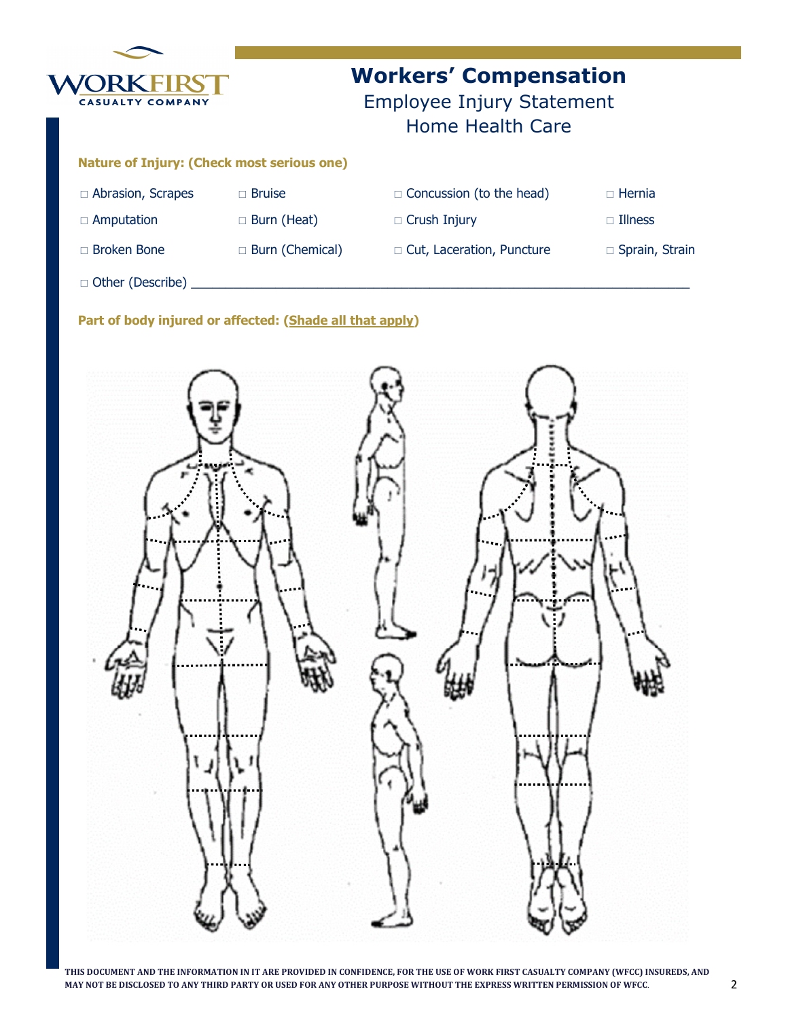

# Workers' Compensation

Employee Injury Statement Home Health Care

### Nature of Injury: (Check most serious one)

| $\Box$ Abrasion, Scrapes | $\Box$ Bruise          | $\Box$ Concussion (to the head) | $\Box$ Hernia         |
|--------------------------|------------------------|---------------------------------|-----------------------|
| $\Box$ Amputation        | $\Box$ Burn (Heat)     | $\Box$ Crush Injury             | $\Box$ Illness        |
| $\Box$ Broken Bone       | $\Box$ Burn (Chemical) | □ Cut, Laceration, Puncture     | $\Box$ Sprain, Strain |

 $\Box$  Other (Describe) \_

### Part of body injured or affected: (Shade all that apply)



THIS DOCUMENT AND THE INFORMATION IN IT ARE PROVIDED IN CONFIDENCE, FOR THE USE OF WORK FIRST CASUALTY COMPANY (WFCC) INSUREDS, AND MAY NOT BE DISCLOSED TO ANY THIRD PARTY OR USED FOR ANY OTHER PURPOSE WITHOUT THE EXPRESS WRITTEN PERMISSION OF WFCC.